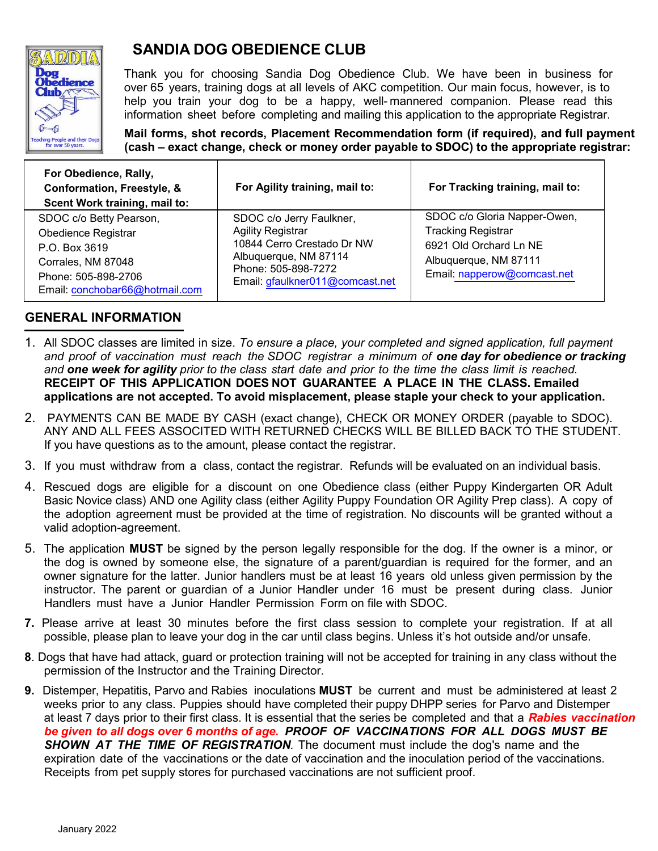

# **SANDIA DOG OBEDIENCE CLUB**

Thank you for choosing Sandia Dog Obedience Club. We have been in business for over 65 years, training dogs at all levels of AKC competition. Our main focus, however, is to help you train your dog to be a happy, well- mannered companion. Please read this information sheet before completing and mailing this application to the appropriate Registrar.

**Mail forms, shot records, Placement Recommendation form (if required), and full payment (cash – exact change, check or money order payable to SDOC) to the appropriate registrar:**

| For Obedience, Rally,<br>Conformation, Freestyle, &<br>Scent Work training, mail to:                                                           | For Agility training, mail to:                                                                                                                                        | For Tracking training, mail to:                                                                                                             |
|------------------------------------------------------------------------------------------------------------------------------------------------|-----------------------------------------------------------------------------------------------------------------------------------------------------------------------|---------------------------------------------------------------------------------------------------------------------------------------------|
| SDOC c/o Betty Pearson,<br>Obedience Registrar<br>P.O. Box 3619<br>Corrales, NM 87048<br>Phone: 505-898-2706<br>Email: conchobar66@hotmail.com | SDOC c/o Jerry Faulkner,<br><b>Agility Registrar</b><br>10844 Cerro Crestado Dr NW<br>Albuquerque, NM 87114<br>Phone: 505-898-7272<br>Email: gfaulkner011@comcast.net | SDOC c/o Gloria Napper-Owen,<br><b>Tracking Registrar</b><br>6921 Old Orchard Ln NE<br>Albuquerque, NM 87111<br>Email: napperow@comcast.net |

## **GENERAL INFORMATION**

- 1. All SDOC classes are limited in size. *To ensure a place, your completed and signed application, full payment and proof of vaccination must reach the SDOC registrar a minimum of one day for obedience or tracking and one week for agility prior to the class start date and prior to the time the class limit is reached.* **RECEIPT OF THIS APPLICATION DOES NOT GUARANTEE A PLACE IN THE CLASS. Emailed applications are not accepted. To avoid misplacement, please staple your check to your application.**
- 2. PAYMENTS CAN BE MADE BY CASH (exact change), CHECK OR MONEY ORDER (payable to SDOC). ANY AND ALL FEES ASSOCITED WITH RETURNED CHECKS WILL BE BILLED BACK TO THE STUDENT. If you have questions as to the amount, please contact the registrar.
- 3. If you must withdraw from a class, contact the registrar. Refunds will be evaluated on an individual basis.
- 4. Rescued dogs are eligible for a discount on one Obedience class (either Puppy Kindergarten OR Adult Basic Novice class) AND one Agility class (either Agility Puppy Foundation OR Agility Prep class). A copy of the adoption agreement must be provided at the time of registration. No discounts will be granted without a valid adoption-agreement.
- 5. The application **MUST** be signed by the person legally responsible for the dog. If the owner is a minor, or the dog is owned by someone else, the signature of a parent/guardian is required for the former, and an owner signature for the latter. Junior handlers must be at least 16 years old unless given permission by the instructor. The parent or guardian of a Junior Handler under 16 must be present during class. Junior Handlers must have a Junior Handler Permission Form on file with SDOC.
- **7.** Please arrive at least 30 minutes before the first class session to complete your registration. If at all possible, please plan to leave your dog in the car until class begins. Unless it's hot outside and/or unsafe.
- **8**. Dogs that have had attack, guard or protection training will not be accepted for training in any class without the permission of the Instructor and the Training Director.
- **9.** Distemper, Hepatitis, Parvo and Rabies inoculations **MUST** be current and must be administered at least 2 weeks prior to any class. Puppies should have completed their puppy DHPP series for Parvo and Distemper at least 7 days prior to their first class. It is essential that the series be completed and that a *Rabies vaccination be given to all dogs over 6 months of age. PROOF OF VACCINATIONS FOR ALL DOGS MUST BE SHOWN AT THE TIME OF REGISTRATION.* The document must include the dog's name and the expiration date of the vaccinations or the date of vaccination and the inoculation period of the vaccinations. Receipts from pet supply stores for purchased vaccinations are not sufficient proof.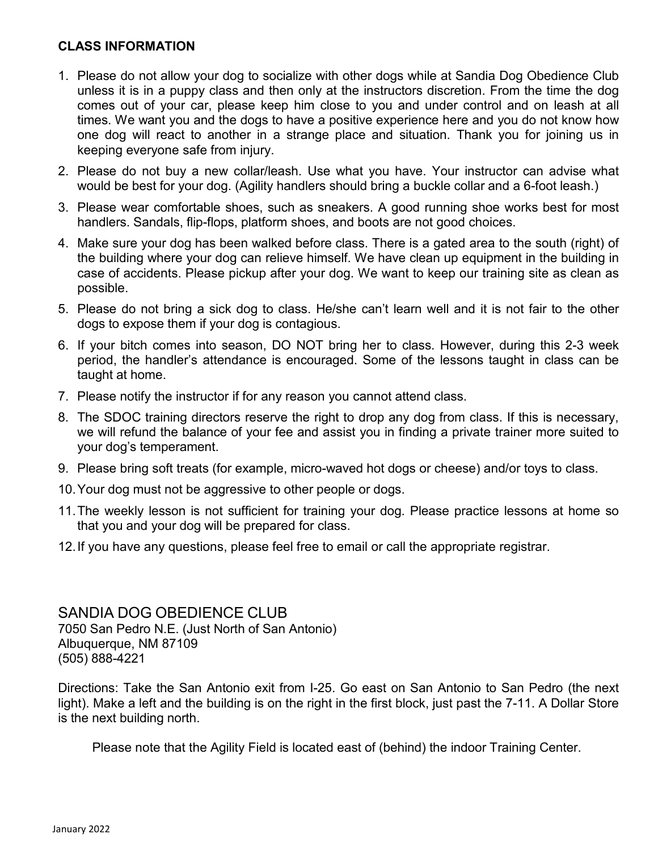### **CLASS INFORMATION**

- 1. Please do not allow your dog to socialize with other dogs while at Sandia Dog Obedience Club unless it is in a puppy class and then only at the instructors discretion. From the time the dog comes out of your car, please keep him close to you and under control and on leash at all times. We want you and the dogs to have a positive experience here and you do not know how one dog will react to another in a strange place and situation. Thank you for joining us in keeping everyone safe from injury.
- 2. Please do not buy a new collar/leash. Use what you have. Your instructor can advise what would be best for your dog. (Agility handlers should bring a buckle collar and a 6-foot leash.)
- 3. Please wear comfortable shoes, such as sneakers. A good running shoe works best for most handlers. Sandals, flip-flops, platform shoes, and boots are not good choices.
- 4. Make sure your dog has been walked before class. There is a gated area to the south (right) of the building where your dog can relieve himself. We have clean up equipment in the building in case of accidents. Please pickup after your dog. We want to keep our training site as clean as possible.
- 5. Please do not bring a sick dog to class. He/she can't learn well and it is not fair to the other dogs to expose them if your dog is contagious.
- 6. If your bitch comes into season, DO NOT bring her to class. However, during this 2-3 week period, the handler's attendance is encouraged. Some of the lessons taught in class can be taught at home.
- 7. Please notify the instructor if for any reason you cannot attend class.
- 8. The SDOC training directors reserve the right to drop any dog from class. If this is necessary, we will refund the balance of your fee and assist you in finding a private trainer more suited to your dog's temperament.
- 9. Please bring soft treats (for example, micro-waved hot dogs or cheese) and/or toys to class.
- 10.Your dog must not be aggressive to other people or dogs.
- 11.The weekly lesson is not sufficient for training your dog. Please practice lessons at home so that you and your dog will be prepared for class.
- 12.If you have any questions, please feel free to email or call the appropriate registrar.

SANDIA DOG OBEDIENCE CLUB 7050 San Pedro N.E. (Just North of San Antonio) Albuquerque, NM 87109 (505) 888-4221

Directions: Take the San Antonio exit from I-25. Go east on San Antonio to San Pedro (the next light). Make a left and the building is on the right in the first block, just past the 7-11. A Dollar Store is the next building north.

Please note that the Agility Field is located east of (behind) the indoor Training Center.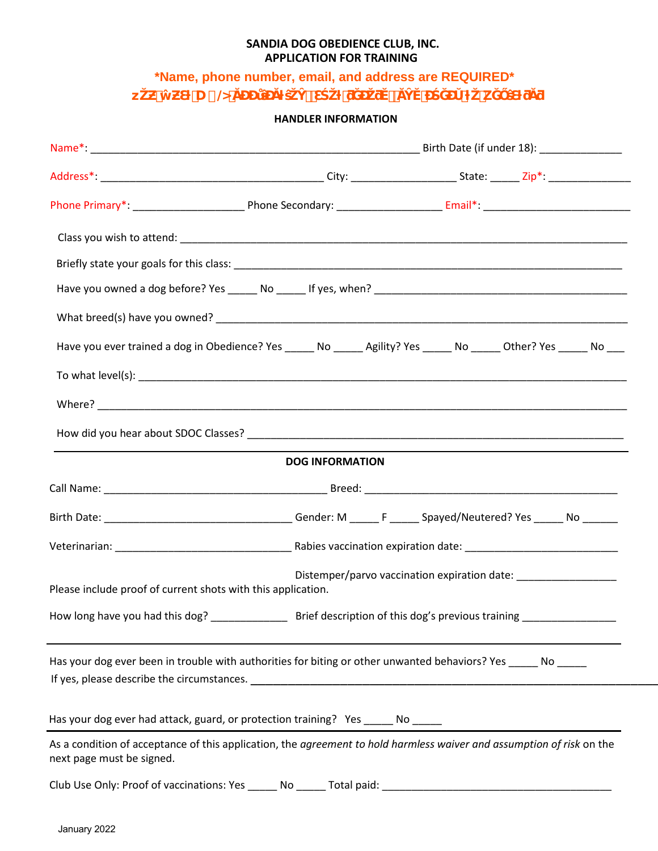#### **SANDIA DOG OBEDIENCE CLUB, INC. APPLICATION FOR TRAINING**

**\*Name, phone number, email, and address are REQUIRED\***

**z**<br> **z**  $\mathbf{z}$  →  $\mathbf{z}$  →  $\mathbf{z}$  +  $\mathbf{z}$  +  $\mathbf{z}$  +  $\mathbf{z}$  +  $\mathbf{z}$  +  $\mathbf{z}$  +  $\mathbf{z}$  +  $\mathbf{z}$  +  $\mathbf{z}$ 

**HANDLER INFORMATION**

|                                                              | Have you ever trained a dog in Obedience? Yes _____ No _____ Agility? Yes _____ No _____ Other? Yes _____ No ___      |                                                                   |  |  |
|--------------------------------------------------------------|-----------------------------------------------------------------------------------------------------------------------|-------------------------------------------------------------------|--|--|
|                                                              |                                                                                                                       |                                                                   |  |  |
|                                                              |                                                                                                                       |                                                                   |  |  |
|                                                              |                                                                                                                       |                                                                   |  |  |
|                                                              | <b>DOG INFORMATION</b>                                                                                                |                                                                   |  |  |
|                                                              |                                                                                                                       |                                                                   |  |  |
|                                                              |                                                                                                                       |                                                                   |  |  |
|                                                              |                                                                                                                       |                                                                   |  |  |
| Please include proof of current shots with this application. |                                                                                                                       | Distemper/parvo vaccination expiration date: ____________________ |  |  |
|                                                              |                                                                                                                       |                                                                   |  |  |
|                                                              | Has your dog ever been in trouble with authorities for biting or other unwanted behaviors? Yes _____ No _____         |                                                                   |  |  |
|                                                              | Has your dog ever had attack, guard, or protection training? Yes _____ No _____                                       |                                                                   |  |  |
| next page must be signed.                                    | As a condition of acceptance of this application, the agreement to hold harmless waiver and assumption of risk on the |                                                                   |  |  |
| Club Use Only: Proof of vaccinations: Yes ______ No          |                                                                                                                       | Total paid: Total paid:                                           |  |  |